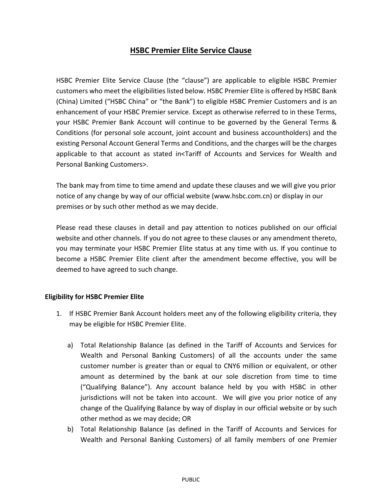# **HSBC Premier Elite Service Clause**

HSBC Premier Elite Service Clause (the "clause") are applicable to eligible HSBC Premier customers who meet the eligibilities listed below. HSBC Premier Elite is offered by HSBC Bank (China) Limited ("HSBC China" or "the Bank") to eligible HSBC Premier Customers and is an enhancement of your HSBC Premier service. Except as otherwise referred to in these Terms, your HSBC Premier Bank Account will continue to be governed by the General Terms & Conditions (for personal sole account, joint account and business accountholders) and the existing Personal Account General Terms and Conditions, and the charges will be the charges applicable to that account as stated in<Tariff of Accounts and Services for Wealth and Personal Banking Customers>.

The bank may from time to time amend and update these clauses and we will give you prior notice of any change by way of our official website (www.hsbc.com.cn) or display in our premises or by such other method as we may decide.

Please read these clauses in detail and pay attention to notices published on our official website and other channels. If you do not agree to these clauses or any amendment thereto, you may terminate your HSBC Premier Elite status at any time with us. If you continue to become a HSBC Premier Elite client after the amendment become effective, you will be deemed to have agreed to such change.

### **Eligibility for HSBC Premier Elite**

- 1. If HSBC Premier Bank Account holders meet any of the following eligibility criteria, they may be eligible for HSBC Premier Elite.
	- a) Total Relationship Balance (as defined in the Tariff of Accounts and Services for Wealth and Personal Banking Customers) of all the accounts under the same customer number is greater than or equal to CNY6 million or equivalent, or other amount as determined by the bank at our sole discretion from time to time ("Qualifying Balance"). Any account balance held by you with HSBC in other jurisdictions will not be taken into account. We will give you prior notice of any change of the Qualifying Balance by way of display in our official website or by such other method as we may decide; OR
	- b) Total Relationship Balance (as defined in the Tariff of Accounts and Services for Wealth and Personal Banking Customers) of all family members of one Premier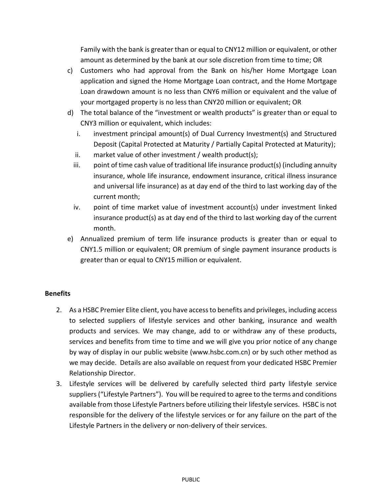Family with the bank is greater than or equal to CNY12 million or equivalent, or other amount as determined by the bank at our sole discretion from time to time; OR

- c) Customers who had approval from the Bank on his/her Home Mortgage Loan application and signed the Home Mortgage Loan contract, and the Home Mortgage Loan drawdown amount is no less than CNY6 million or equivalent and the value of your mortgaged property is no less than CNY20 million or equivalent; OR
- d) The total balance of the "investment or wealth products" is greater than or equal to CNY3 million or equivalent, which includes:
	- i. investment principal amount(s) of Dual Currency Investment(s) and Structured Deposit (Capital Protected at Maturity / Partially Capital Protected at Maturity);
	- ii. market value of other investment / wealth product(s);
	- iii. point of time cash value of traditional life insurance product(s) (including annuity insurance, whole life insurance, endowment insurance, critical illness insurance and universal life insurance) as at day end of the third to last working day of the current month;
	- iv. point of time market value of investment account(s) under investment linked insurance product(s) as at day end of the third to last working day of the current month.
- e) Annualized premium of term life insurance products is greater than or equal to CNY1.5 million or equivalent; OR premium of single payment insurance products is greater than or equal to CNY15 million or equivalent.

### **Benefits**

- 2. As a HSBC Premier Elite client, you have access to benefits and privileges, including access to selected suppliers of lifestyle services and other banking, insurance and wealth products and services. We may change, add to or withdraw any of these products, services and benefits from time to time and we will give you prior notice of any change by way of display in our public website (www.hsbc.com.cn) or by such other method as we may decide. Details are also available on request from your dedicated HSBC Premier Relationship Director.
- 3. Lifestyle services will be delivered by carefully selected third party lifestyle service suppliers ("Lifestyle Partners"). You will be required to agree to the terms and conditions available from those Lifestyle Partners before utilizing their lifestyle services. HSBC is not responsible for the delivery of the lifestyle services or for any failure on the part of the Lifestyle Partners in the delivery or non-delivery of their services.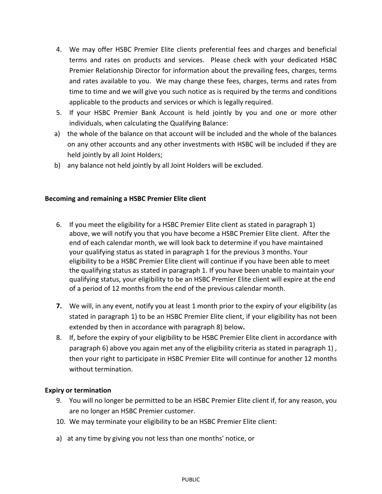- 4. We may offer HSBC Premier Elite clients preferential fees and charges and beneficial terms and rates on products and services. Please check with your dedicated HSBC Premier Relationship Director for information about the prevailing fees, charges, terms and rates available to you. We may change these fees, charges, terms and rates from time to time and we will give you such notice as is required by the terms and conditions applicable to the products and services or which is legally required.
- 5. If your HSBC Premier Bank Account is held jointly by you and one or more other individuals, when calculating the Qualifying Balance:
- a) the whole of the balance on that account will be included and the whole of the balances on any other accounts and any other investments with HSBC will be included if they are held jointly by all Joint Holders;
- b) any balance not held jointly by all Joint Holders will be excluded.

### **Becoming and remaining a HSBC Premier Elite client**

- 6. If you meet the eligibility for a HSBC Premier Elite client as stated in paragraph 1) above, we will notify you that you have become a HSBC Premier Elite client. After the end of each calendar month, we will look back to determine if you have maintained your qualifying status as stated in paragraph 1 for the previous 3 months. Your eligibility to be a HSBC Premier Elite client will continue if you have been able to meet the qualifying status as stated in paragraph 1. If you have been unable to maintain your qualifying status, your eligibility to be an HSBC Premier Elite client will expire at the end of a period of 12 months from the end of the previous calendar month.
- **7.** We will, in any event, notify you at least 1 month prior to the expiry of your eligibility (as stated in paragraph 1) to be an HSBC Premier Elite client, if your eligibility has not been extended by then in accordance with paragraph 8) below**.**
- 8. If, before the expiry of your eligibility to be HSBC Premier Elite client in accordance with paragraph 6) above you again met any of the eligibility criteria as stated in paragraph 1) , then your right to participate in HSBC Premier Elite will continue for another 12 months without termination.

### **Expiry or termination**

- 9. You will no longer be permitted to be an HSBC Premier Elite client if, for any reason, you are no longer an HSBC Premier customer.
- 10. We may terminate your eligibility to be an HSBC Premier Elite client:
- a) at any time by giving you not less than one months' notice, or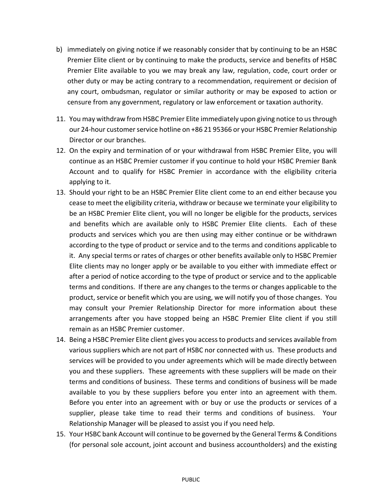- b) immediately on giving notice if we reasonably consider that by continuing to be an HSBC Premier Elite client or by continuing to make the products, service and benefits of HSBC Premier Elite available to you we may break any law, regulation, code, court order or other duty or may be acting contrary to a recommendation, requirement or decision of any court, ombudsman, regulator or similar authority or may be exposed to action or censure from any government, regulatory or law enforcement or taxation authority.
- 11. You may withdraw from HSBC Premier Elite immediately upon giving notice to us through our 24-hour customer service hotline on +86 21 95366 or your HSBC Premier Relationship Director or our branches.
- 12. On the expiry and termination of or your withdrawal from HSBC Premier Elite, you will continue as an HSBC Premier customer if you continue to hold your HSBC Premier Bank Account and to qualify for HSBC Premier in accordance with the eligibility criteria applying to it.
- 13. Should your right to be an HSBC Premier Elite client come to an end either because you cease to meet the eligibility criteria, withdraw or because we terminate your eligibility to be an HSBC Premier Elite client, you will no longer be eligible for the products, services and benefits which are available only to HSBC Premier Elite clients. Each of these products and services which you are then using may either continue or be withdrawn according to the type of product or service and to the terms and conditions applicable to it. Any special terms or rates of charges or other benefits available only to HSBC Premier Elite clients may no longer apply or be available to you either with immediate effect or after a period of notice according to the type of product or service and to the applicable terms and conditions. If there are any changes to the terms or changes applicable to the product, service or benefit which you are using, we will notify you of those changes. You may consult your Premier Relationship Director for more information about these arrangements after you have stopped being an HSBC Premier Elite client if you still remain as an HSBC Premier customer.
- 14. Being a HSBC Premier Elite client gives you access to products and services available from various suppliers which are not part of HSBC nor connected with us. These products and services will be provided to you under agreements which will be made directly between you and these suppliers. These agreements with these suppliers will be made on their terms and conditions of business. These terms and conditions of business will be made available to you by these suppliers before you enter into an agreement with them. Before you enter into an agreement with or buy or use the products or services of a supplier, please take time to read their terms and conditions of business. Your Relationship Manager will be pleased to assist you if you need help.
- 15. Your HSBC bank Account will continue to be governed by the General Terms & Conditions (for personal sole account, joint account and business accountholders) and the existing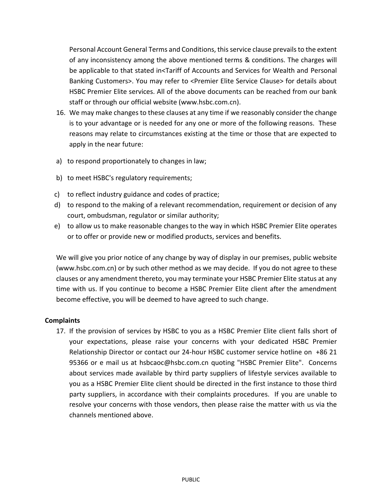Personal Account General Terms and Conditions, thisservice clause prevails to the extent of any inconsistency among the above mentioned terms & conditions. The charges will be applicable to that stated in<Tariff of Accounts and Services for Wealth and Personal Banking Customers>. You may refer to <Premier Elite Service Clause> for details about HSBC Premier Elite services. All of the above documents can be reached from our bank staff or through our official website (www.hsbc.com.cn).

- 16. We may make changes to these clauses at any time if we reasonably consider the change is to your advantage or is needed for any one or more of the following reasons. These reasons may relate to circumstances existing at the time or those that are expected to apply in the near future:
- a) to respond proportionately to changes in law;
- b) to meet HSBC's regulatory requirements;
- c) to reflect industry guidance and codes of practice;
- d) to respond to the making of a relevant recommendation, requirement or decision of any court, ombudsman, regulator or similar authority;
- e) to allow us to make reasonable changes to the way in which HSBC Premier Elite operates or to offer or provide new or modified products, services and benefits.

We will give you prior notice of any change by way of display in our premises, public website (www.hsbc.com.cn) or by such other method as we may decide. If you do not agree to these clauses or any amendment thereto, you may terminate your HSBC Premier Elite status at any time with us. If you continue to become a HSBC Premier Elite client after the amendment become effective, you will be deemed to have agreed to such change.

### **Complaints**

17. If the provision of services by HSBC to you as a HSBC Premier Elite client falls short of your expectations, please raise your concerns with your dedicated HSBC Premier Relationship Director or contact our 24-hour HSBC customer service hotline on +86 21 95366 or e mail us at hsbcaoc@hsbc.com.cn quoting "HSBC Premier Elite". Concerns about services made available by third party suppliers of lifestyle services available to you as a HSBC Premier Elite client should be directed in the first instance to those third party suppliers, in accordance with their complaints procedures. If you are unable to resolve your concerns with those vendors, then please raise the matter with us via the channels mentioned above.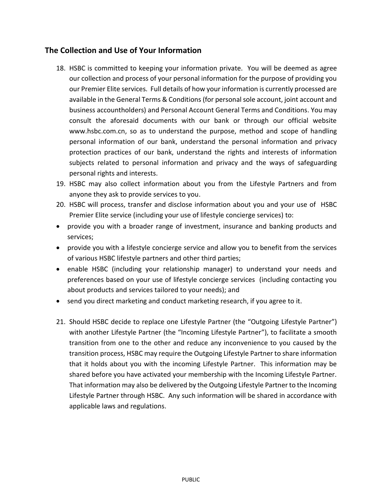## **The Collection and Use of Your Information**

- 18. HSBC is committed to keeping your information private. You will be deemed as agree our collection and process of your personal information for the purpose of providing you our Premier Elite services. Full details of how your information is currently processed are available in the General Terms & Conditions (for personal sole account, joint account and business accountholders) and Personal Account General Terms and Conditions. You may consult the aforesaid documents with our bank or through our official website www.hsbc.com.cn, so as to understand the purpose, method and scope of handling personal information of our bank, understand the personal information and privacy protection practices of our bank, understand the rights and interests of information subjects related to personal information and privacy and the ways of safeguarding personal rights and interests.
- 19. HSBC may also collect information about you from the Lifestyle Partners and from anyone they ask to provide services to you.
- 20. HSBC will process, transfer and disclose information about you and your use of HSBC Premier Elite service (including your use of lifestyle concierge services) to:
- provide you with a broader range of investment, insurance and banking products and services;
- provide you with a lifestyle concierge service and allow you to benefit from the services of various HSBC lifestyle partners and other third parties;
- enable HSBC (including your relationship manager) to understand your needs and preferences based on your use of lifestyle concierge services (including contacting you about products and services tailored to your needs); and
- send you direct marketing and conduct marketing research, if you agree to it.
- 21. Should HSBC decide to replace one Lifestyle Partner (the "Outgoing Lifestyle Partner") with another Lifestyle Partner (the "Incoming Lifestyle Partner"), to facilitate a smooth transition from one to the other and reduce any inconvenience to you caused by the transition process, HSBC may require the Outgoing Lifestyle Partner to share information that it holds about you with the incoming Lifestyle Partner. This information may be shared before you have activated your membership with the Incoming Lifestyle Partner. That information may also be delivered by the Outgoing Lifestyle Partner to the Incoming Lifestyle Partner through HSBC. Any such information will be shared in accordance with applicable laws and regulations.